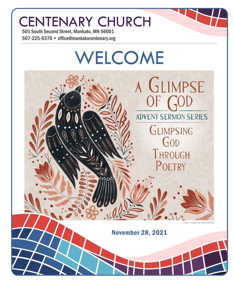# CENTENARY CHURCH

501 South Second Street, Mankato, MN 56001 507-225-6370 • office@mankatocentenary.org

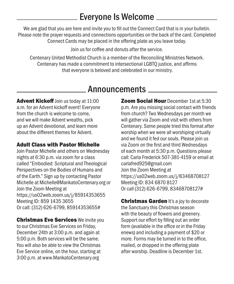### Everyone Is Welcome

We are glad that you are here and invite you to fill out the Connect Card that is in your bulletin. Please note the prayer requests and connections opportunities on the back of the card. Completed Connect Cards may be placed in the offering plate as you leave today.

Join us for coffee and donuts after the service.

Centenary United Methodist Church is a member of the Reconciling Ministries Network. Centenary has made a commitment to intersectional LGBTQ justice, and affirms that everyone is beloved and celebrated in our ministry.

### Announcements

Advent Kickoff Join us today at 11:00 a.m. for an Advent kickoff event! Everyone from the church is welcome to come, and we will make Advent wreaths, pick up an Advent devotional, and learn more about the different themes for Advent.

#### Adult Class with Pastor Michelle

Join Pastor Michelle and others on Wednesday nights at 6:30 p.m. via zoom for a class called "Embodied: Scriptural and Theological Perspectives on the Bodies of Humans and of the Earth." Sign up by contacting Pastor Michelle at Michelle@MankatoCentenary.org or Join the Zoom Meeting at https://us02web.zoom.us/j/85914353655 Meeting ID: 859 1435 3655 Or call: (312) 626-6799, 85914353655#

**Christmas Eve Services** We invite you to our Christmas Eve Services on Friday, December 24th at 3:00 p.m. and again at 5:00 p.m. Both services will be the same. You will also be able to view the Christmas Eve Service online, on the hour, starting at 3:00 p.m. at www.MankatoCentenary.org

**Zoom Social Hour** December 1st at 5:30 p.m. Are you missing social contact with friends from church? Two Wednesdays per month we will gather via Zoom and visit with others from Centenary. Some people tried this format after worship when we were all worshiping virtually and we found it fed our souls. Please join us via Zoom on the first and third Wednesdays of each month at 5:30 p.m. Questions please call: Carla Frederick 507-381-4159 or email at carlafred925@gmail.com Join the Zoom Meeting at https://us02web.zoom.us/j/83468708127 Meeting ID: 834 6870 8127 Or call (312) 626-6799, 83468708127#

**Christmas Garden It's a joy to decorate** the Sanctuary this Christmas season with the beauty of flowers and greenery. Support our effort by filling out an order form (available in the office or in the Friday enews) and including a payment of \$20 or more. Forms may be turned in to the office, mailed, or dropped in the offering plate after worship. Deadline is December 1st.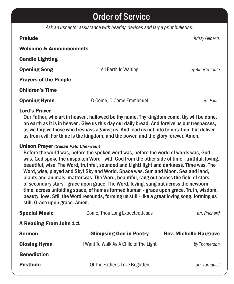### Order of Service

*Ask an usher for assistance with hearing devices and large print bulletins.*

| <b>Prelude</b>                     |                         | <b>Kristy Gilberts</b> |
|------------------------------------|-------------------------|------------------------|
| <b>Welcome &amp; Announcements</b> |                         |                        |
| <b>Candle Lighting</b>             |                         |                        |
| <b>Opening Song</b>                | All Earth Is Waiting    | by Alberto Taule       |
| <b>Prayers of the People</b>       |                         |                        |
| <b>Children's Time</b>             |                         |                        |
| <b>Opening Hymn</b>                | O Come, O Come Emmanuel | arr. Faust             |

#### Lord's Prayer

Our Father, who art in heaven, hallowed be thy name. Thy kingdom come, thy will be done, on earth as it is in heaven. Give us this day our daily bread. And forgive us our trespasses, as we forgive those who trespass against us. And lead us not into temptation, but deliver us from evil. For thine is the kingdom, and the power, and the glory forever. Amen.

#### Unison Prayer *(Susan Palo Cherwein)*

Before the world was, before the spoken word was, before the world of words was, God was. God spoke the unspoken Word - with God from the other side of time - truthful, loving, beautiful, wise. The Word, truthful, sounded and Light! light and darkness. Time was. The Word, wise, played and Sky! Sky and World. Space was. Sun and Moon. Sea and land, plants and animals, matter was. The Word, beautiful, rang out across the field of stars, of secondary stars - grace upon grace. The Word, loving, sang out across the newborn time, across unfolding space, of humus formed human - grace upon grace. Truth, wisdom, beauty, love. Still the Word resounds, forming us still - like a great loving song, forming us still. Grace upon grace. Amen.

| <b>Special Music</b>    | Come, Thou Long Expected Jesus         | arr. Prichard                 |
|-------------------------|----------------------------------------|-------------------------------|
| A Reading From John 1:1 |                                        |                               |
| <b>Sermon</b>           | <b>Glimpsing God in Poetry</b>         | <b>Rev. Michelle Hargrave</b> |
| <b>Closing Hymn</b>     | I Want To Walk As A Child of The Light | by Thomerson                  |
| <b>Benediction</b>      |                                        |                               |
| <b>Postlude</b>         | Of The Father's Love Begotten          | arr. Tornquist                |